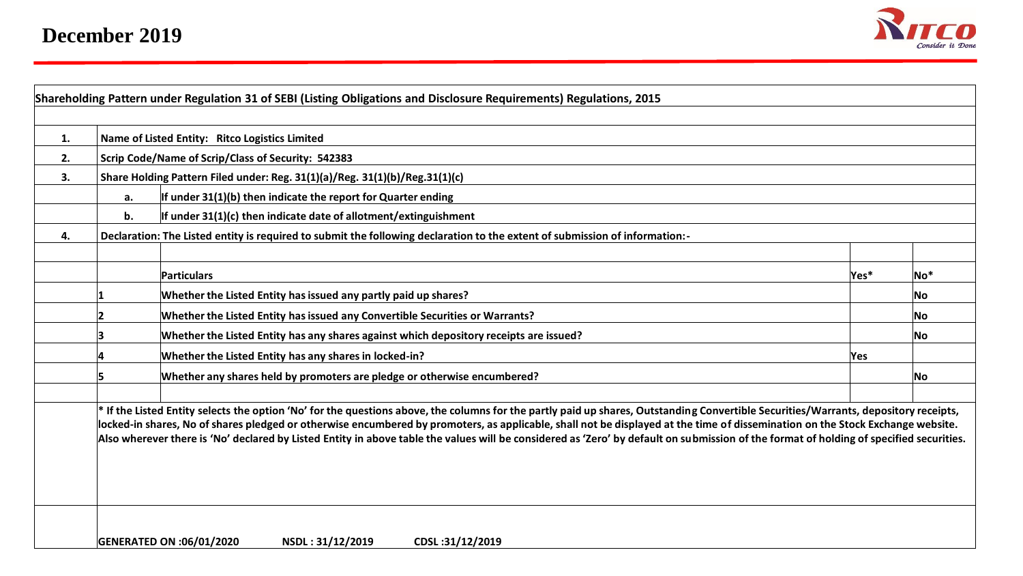

| 1. |                                                    | Name of Listed Entity: Ritco Logistics Limited                                                                                                                                                                                                                                                                                                                                                                                                                                                                                                                  |      |     |  |  |  |  |  |  |  |  |  |
|----|----------------------------------------------------|-----------------------------------------------------------------------------------------------------------------------------------------------------------------------------------------------------------------------------------------------------------------------------------------------------------------------------------------------------------------------------------------------------------------------------------------------------------------------------------------------------------------------------------------------------------------|------|-----|--|--|--|--|--|--|--|--|--|
| 2. | Scrip Code/Name of Scrip/Class of Security: 542383 |                                                                                                                                                                                                                                                                                                                                                                                                                                                                                                                                                                 |      |     |  |  |  |  |  |  |  |  |  |
| 3. |                                                    | Share Holding Pattern Filed under: Reg. 31(1)(a)/Reg. 31(1)(b)/Reg.31(1)(c)                                                                                                                                                                                                                                                                                                                                                                                                                                                                                     |      |     |  |  |  |  |  |  |  |  |  |
|    | a.                                                 | If under 31(1)(b) then indicate the report for Quarter ending                                                                                                                                                                                                                                                                                                                                                                                                                                                                                                   |      |     |  |  |  |  |  |  |  |  |  |
|    | b.                                                 | If under $31(1)(c)$ then indicate date of allotment/extinguishment                                                                                                                                                                                                                                                                                                                                                                                                                                                                                              |      |     |  |  |  |  |  |  |  |  |  |
| 4. |                                                    | Declaration: The Listed entity is required to submit the following declaration to the extent of submission of information:-                                                                                                                                                                                                                                                                                                                                                                                                                                     |      |     |  |  |  |  |  |  |  |  |  |
|    |                                                    | Particulars                                                                                                                                                                                                                                                                                                                                                                                                                                                                                                                                                     | Yes* | No* |  |  |  |  |  |  |  |  |  |
|    |                                                    | Whether the Listed Entity has issued any partly paid up shares?                                                                                                                                                                                                                                                                                                                                                                                                                                                                                                 |      | No  |  |  |  |  |  |  |  |  |  |
|    |                                                    | Whether the Listed Entity has issued any Convertible Securities or Warrants?                                                                                                                                                                                                                                                                                                                                                                                                                                                                                    |      | No. |  |  |  |  |  |  |  |  |  |
|    |                                                    |                                                                                                                                                                                                                                                                                                                                                                                                                                                                                                                                                                 | No   |     |  |  |  |  |  |  |  |  |  |
|    |                                                    | Yes                                                                                                                                                                                                                                                                                                                                                                                                                                                                                                                                                             |      |     |  |  |  |  |  |  |  |  |  |
|    |                                                    |                                                                                                                                                                                                                                                                                                                                                                                                                                                                                                                                                                 | No l |     |  |  |  |  |  |  |  |  |  |
|    |                                                    | If the Listed Entity selects the option 'No' for the questions above, the columns for the partly paid up shares, Outstanding Convertible Securities/Warrants, depository receipts,<br>locked-in shares, No of shares pledged or otherwise encumbered by promoters, as applicable, shall not be displayed at the time of dissemination on the Stock Exchange website.<br>Also wherever there is 'No' declared by Listed Entity in above table the values will be considered as 'Zero' by default on submission of the format of holding of specified securities. |      |     |  |  |  |  |  |  |  |  |  |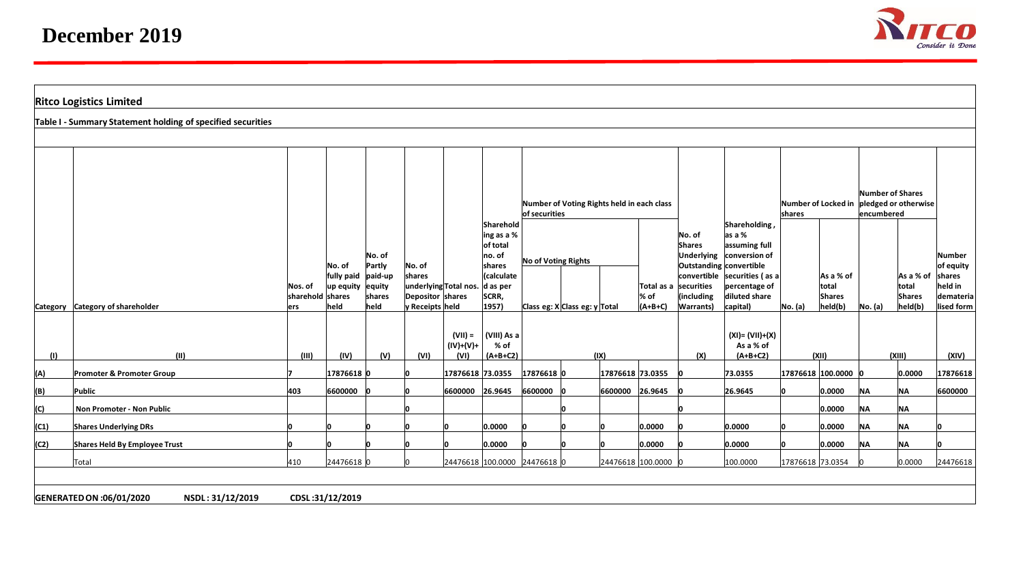

|      | <b>Ritco Logistics Limited</b>                              |                          |                                        |                  |                                     |                                |                                                                         |                                   |                     |                                            |                     |                                 |                                                                                |                               |                                          |                                                        |                          |                         |
|------|-------------------------------------------------------------|--------------------------|----------------------------------------|------------------|-------------------------------------|--------------------------------|-------------------------------------------------------------------------|-----------------------------------|---------------------|--------------------------------------------|---------------------|---------------------------------|--------------------------------------------------------------------------------|-------------------------------|------------------------------------------|--------------------------------------------------------|--------------------------|-------------------------|
|      | Table I - Summary Statement holding of specified securities |                          |                                        |                  |                                     |                                |                                                                         |                                   |                     |                                            |                     |                                 |                                                                                |                               |                                          |                                                        |                          |                         |
|      |                                                             |                          |                                        |                  |                                     |                                |                                                                         |                                   |                     |                                            |                     |                                 |                                                                                |                               |                                          |                                                        |                          |                         |
|      |                                                             |                          |                                        |                  |                                     |                                | Sharehold                                                               | of securities                     |                     | Number of Voting Rights held in each class |                     |                                 | Shareholding,                                                                  | Number of Locked in<br>shares |                                          | Number of Shares<br>pledged or otherwise<br>encumbered |                          | Number<br>of equity     |
|      |                                                             |                          | No. of                                 | No. of<br>Partly | No. of<br>shares                    |                                | ing as a %<br>of total<br>no. of<br>shares<br><i><b>(calculate)</b></i> |                                   | No of Voting Rights |                                            |                     | No. of<br>Shares                | as a %<br>assuming full<br>Underlying conversion of<br>Outstanding convertible |                               |                                          |                                                        |                          |                         |
|      |                                                             | Nos. of                  | fully paid paid-up<br>up equity equity |                  |                                     | underlying Total nos. d as per |                                                                         |                                   |                     |                                            |                     | Total as a securities           | convertible securities (as a<br>percentage of                                  |                               | As a % of<br>total                       |                                                        | As a % of<br>total       | shares<br>held in       |
|      | Category Category of shareholder                            | sharehold shares<br>lers | held                                   | shares<br>held   | Depositor shares<br>y Receipts held |                                | SCRR,<br>$ 1957\rangle$                                                 | Class eg: $X$ Class eg: $y$ Total |                     |                                            | $%$ of<br>$(A+B+C)$ | (including<br><b>Warrants</b> ) | diluted share<br>capital)                                                      | No. (a)                       | <b>Shares</b><br>$\vert$ held $\vert$ b) | No. (a)                                                | <b>Shares</b><br>held(b) | demateria<br>lised form |
| (1)  | (11)                                                        | (III)                    | (IV)                                   | (V)              | (VI)                                | $(VII) =$<br>(IV)+(V)+<br>(VI) | (VIII) As a<br>% of<br>$(A+B+C2)$                                       |                                   |                     | (IX)                                       |                     | (X)                             | $(XI) = (VII)+(X)$<br>As a % of<br>$(A+B+C2)$                                  |                               | (XII)                                    |                                                        | (XIII)                   | (XIV)                   |
| (A)  | Promoter & Promoter Group                                   |                          | 17876618 0                             |                  |                                     | 17876618 73.0355               |                                                                         | 17876618 0                        |                     | 17876618 73.0355                           |                     |                                 | 73.0355                                                                        | 17876618 100.0000 0           |                                          |                                                        | 0.0000                   | 17876618                |
| (B)  | Public                                                      | 403                      | 6600000                                |                  |                                     | 6600000                        | 26.9645                                                                 | 6600000                           |                     | 6600000 26.9645                            |                     |                                 | 26.9645                                                                        |                               | 0.0000                                   | <b>NA</b>                                              | <b>NA</b>                | 6600000                 |
| (C)  | Non Promoter - Non Public                                   |                          |                                        |                  |                                     |                                |                                                                         |                                   |                     |                                            |                     |                                 |                                                                                |                               | 0.0000                                   | <b>NA</b>                                              | <b>NA</b>                |                         |
| (C1) | <b>Shares Underlying DRs</b>                                |                          |                                        |                  |                                     |                                | 0.0000                                                                  |                                   |                     |                                            | 0.0000              |                                 | 0.0000                                                                         |                               | 0.0000                                   | <b>NA</b>                                              | <b>NA</b>                |                         |
| (C2) | Shares Held By Employee Trust                               |                          |                                        |                  |                                     |                                | 0.0000                                                                  |                                   |                     |                                            | 0.0000              |                                 | 0.0000                                                                         |                               | 0.0000                                   | <b>NA</b>                                              | <b>NA</b>                |                         |
|      | Total                                                       | 410                      | 24476618 0                             |                  |                                     |                                | 24476618 100.0000 24476618 0                                            |                                   |                     |                                            | 24476618 100.0000 0 |                                 | 100.0000                                                                       | 17876618 73.0354              |                                          |                                                        | 0.0000                   | 24476618                |
|      | GENERATED ON :06/01/2020<br>NSDL: 31/12/2019                |                          | CDSL:31/12/2019                        |                  |                                     |                                |                                                                         |                                   |                     |                                            |                     |                                 |                                                                                |                               |                                          |                                                        |                          |                         |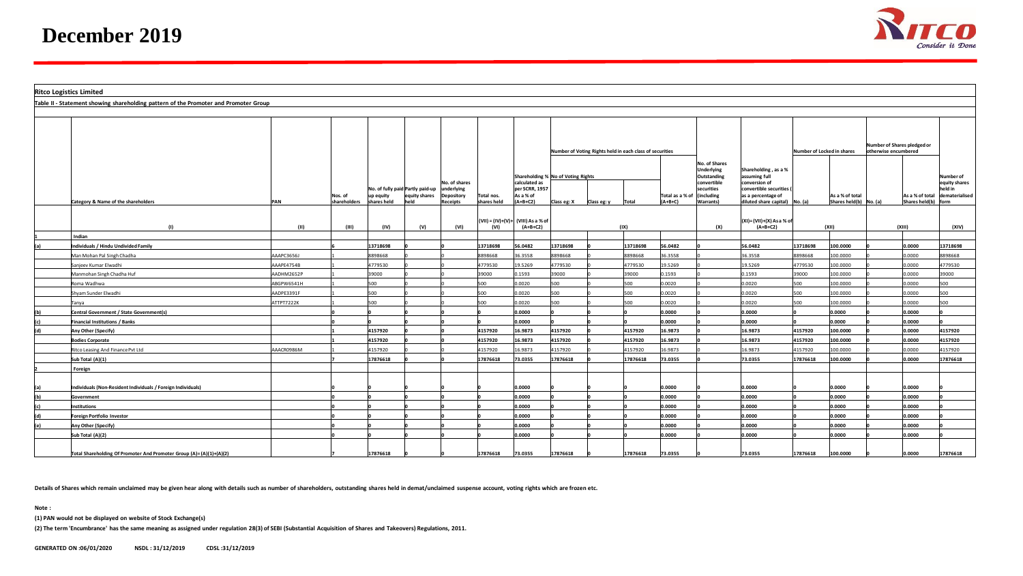

| <b>Ritco Logistics Limited</b> |                                                                                      |                  |              |             |                                  |                             |             |                                                  |                                    |             |                                                          |                |                                                                         |                                                                                  |                            |                            |                                                     |                     |                                       |
|--------------------------------|--------------------------------------------------------------------------------------|------------------|--------------|-------------|----------------------------------|-----------------------------|-------------|--------------------------------------------------|------------------------------------|-------------|----------------------------------------------------------|----------------|-------------------------------------------------------------------------|----------------------------------------------------------------------------------|----------------------------|----------------------------|-----------------------------------------------------|---------------------|---------------------------------------|
|                                | Table II - Statement showing shareholding pattern of the Promoter and Promoter Group |                  |              |             |                                  |                             |             |                                                  |                                    |             |                                                          |                |                                                                         |                                                                                  |                            |                            |                                                     |                     |                                       |
|                                |                                                                                      |                  |              |             |                                  |                             |             |                                                  |                                    |             |                                                          |                |                                                                         |                                                                                  |                            |                            |                                                     |                     |                                       |
|                                |                                                                                      |                  |              |             |                                  |                             |             |                                                  |                                    |             | Number of Voting Rights held in each class of securities |                |                                                                         |                                                                                  | Number of Locked in shares |                            | Number of Shares pledged or<br>otherwise encumbered |                     |                                       |
|                                |                                                                                      |                  |              |             | No. of fully paid Partly paid-up | No. of shares<br>underlying |             | calculated as<br>per SCRR, 1957                  | Shareholding % No of Voting Rights |             |                                                          |                | No. of Shares<br>Underlying<br>Outstanding<br>convertible<br>securities | Shareholding, as a %<br>assuming full<br>conversion of<br>convertible securities |                            |                            |                                                     |                     | Number of<br>equity shares<br>held in |
|                                |                                                                                      |                  | Nos. of      | up equity   | equity shares                    | <b>Depository</b>           | Total nos.  | As a % of                                        |                                    |             |                                                          | Total as a % o | (including                                                              | as a percentage of                                                               |                            | As a % of total            |                                                     |                     | As a % of total dematerialised        |
|                                | Category & Name of the shareholders                                                  | PAN              | shareholders | shares held | held                             | <b>Receipts</b>             | shares held | $(A+B+C2)$                                       | Class eg: X                        | Class eg: y | Total                                                    | (A+B+C)        | Warrants)                                                               | diluted share capital) No. (a)                                                   |                            | Shares held(b) $N_0$ . (a) |                                                     | Shares held(b) form |                                       |
|                                | (1)                                                                                  | (11)             | (III)        | (IV)        | (V)                              | (VI)                        | (VI)        | (VII) = (IV)+(V)+ (VIII) As a % of<br>$(A+B+C2)$ |                                    |             | (IX)                                                     |                | (X)                                                                     | (XI)=(VII)+(X) As a % of<br>$(A+B+C2)$                                           |                            | (XII)                      |                                                     | (XIII)              | (XIV)                                 |
|                                | Indian                                                                               |                  |              |             |                                  |                             |             |                                                  |                                    |             |                                                          |                |                                                                         |                                                                                  |                            |                            |                                                     |                     |                                       |
|                                | ndividuals / Hindu Undivided Family                                                  |                  |              | 13718698    |                                  |                             | 13718698    | 56.0482                                          | 13718698                           |             | 13718698                                                 | 56.0482        |                                                                         | 56.0482                                                                          | 13718698                   | 100.0000                   |                                                     | 0.0000              | 13718698                              |
|                                | Man Mohan Pal Singh Chadha                                                           | AAAPC3656J       |              | 8898668     |                                  |                             | 8898668     | 36.3558                                          | 8898668                            |             | 8898668                                                  | 36.3558        |                                                                         | 36.3558                                                                          | 8898668                    | 100.0000                   |                                                     | 0.0000              | 8898668                               |
|                                | Sanieev Kumar Elwadhi                                                                | AAAPE4754B       |              | 4779530     |                                  |                             | 4779530     | 19.5269                                          | 4779530                            |             | 4779530                                                  | 19.5269        |                                                                         | 19.5269                                                                          | 1779530                    | 100.0000                   |                                                     | 0.0000              | 4779530                               |
|                                | Manmohan Singh Chadha Huf                                                            | AADHM2652P       |              | 39000       |                                  |                             | 39000       | 0.1593                                           | 39000                              |             | 39000                                                    | 0.1593         |                                                                         | 0.1593                                                                           | 39000                      | 100.0000                   |                                                     | 0.0000              | 39000                                 |
|                                | <b>Roma Wadhwa</b>                                                                   | ABGPW6541H       |              | 500         |                                  |                             | 500         | 0.0020                                           | 500                                |             | 500                                                      | 0.0020         |                                                                         | 0.0020                                                                           | 500                        | 100.0000                   |                                                     | 0000.               | 500                                   |
|                                | Shyam Sunder Elwadhi                                                                 | AADPE3391F       |              | 500         |                                  |                             | 500         | 0.0020                                           | 500                                |             | 500                                                      | 0.0020         |                                                                         | 0.0020                                                                           | 500                        | 100.0000                   |                                                     | 0.0000              | 500                                   |
|                                | Tanya                                                                                | <b>ITPT7222K</b> |              | 500         |                                  |                             | 500         | 0.0020                                           | 500                                |             | 500                                                      | 0.0020         |                                                                         | 0.0020                                                                           | 500                        | 100.0000                   |                                                     | 0.0000              | 500                                   |
|                                | Central Government / State Government(s)                                             |                  |              |             |                                  |                             |             | 0.0000                                           |                                    |             |                                                          | 0.0000         |                                                                         | 0.0000                                                                           |                            | 0.0000                     |                                                     | 0.0000              |                                       |
|                                | <b>Financial Institutions / Banks</b>                                                |                  |              |             |                                  |                             |             | 0.0000                                           |                                    |             |                                                          | 0.0000         |                                                                         | 0.0000                                                                           |                            | 0.0000                     |                                                     | 0.0000              |                                       |
| (d)                            | Any Other (Specify)                                                                  |                  |              | 4157920     |                                  |                             | 4157920     | 16.9873                                          | 4157920                            |             | 4157920                                                  | 16.9873        |                                                                         | 16.9873                                                                          | 4157920                    | 100.0000                   |                                                     | 0.0000              | 4157920                               |
|                                | <b>Bodies Corporate</b>                                                              |                  |              | 4157920     |                                  |                             | 4157920     | 16.9873                                          | 4157920                            |             | 4157920                                                  | 16.9873        |                                                                         | 16.9873                                                                          | 4157920                    | 100.0000                   |                                                     | 0.0000              | 4157920                               |
|                                | Ritco Leasing And Finance Pvt Ltd                                                    | AAACR0986M       |              | 4157920     |                                  |                             | 4157920     | 16.9873                                          | 4157920                            |             | 4157920                                                  | 16.9873        |                                                                         | 16.9873                                                                          | 1157920                    | 100.0000                   |                                                     | 0.0000              | 4157920                               |
|                                | Sub Total (A)(1)                                                                     |                  |              | 17876618    |                                  |                             | 17876618    | 73.0355                                          | 17876618                           |             | 17876618                                                 | 73.0355        |                                                                         | 73.0355                                                                          | 17876618                   | 100.0000                   |                                                     | 0.0000              | 17876618                              |
|                                | Foreign                                                                              |                  |              |             |                                  |                             |             |                                                  |                                    |             |                                                          |                |                                                                         |                                                                                  |                            |                            |                                                     |                     |                                       |
|                                |                                                                                      |                  |              |             |                                  |                             |             |                                                  |                                    |             |                                                          |                |                                                                         |                                                                                  |                            |                            |                                                     |                     |                                       |
|                                | ndividuals (Non-Resident Individuals / Foreign Individuals)                          |                  |              |             |                                  |                             |             | 0.0000                                           |                                    |             |                                                          | 0.0000         |                                                                         | 0.0000                                                                           |                            | 0.0000                     |                                                     | 0.0000              |                                       |
|                                | Government                                                                           |                  |              |             |                                  |                             |             | 0.0000                                           |                                    |             |                                                          | 0.0000         |                                                                         | 0.0000                                                                           |                            | 0.0000                     |                                                     | 0.0000              |                                       |
|                                | nstitutions                                                                          |                  |              |             |                                  |                             |             | 0.0000                                           |                                    |             |                                                          | 0.0000         |                                                                         | 0.0000                                                                           |                            | 0.0000                     |                                                     | 0.0000              |                                       |
|                                | <b>Foreign Portfolio Investor</b>                                                    |                  |              |             |                                  |                             |             | 0.0000                                           |                                    |             |                                                          | 0.0000         |                                                                         | 0.0000                                                                           |                            | 0.0000                     |                                                     | 0.0000              |                                       |
| (e)                            | Any Other (Specify)                                                                  |                  |              |             |                                  |                             |             | 0.0000                                           |                                    |             |                                                          | 0.0000         |                                                                         | 0.0000                                                                           |                            | 0.0000                     |                                                     | 0.0000              |                                       |
|                                | Sub Total (A)(2)                                                                     |                  |              |             |                                  |                             |             | 0000.0                                           |                                    |             |                                                          | 0.0000         |                                                                         | 0.0000                                                                           |                            | 0000.0                     |                                                     | 0.0000              |                                       |
|                                | Total Shareholding Of Promoter And Promoter Group (A)=(A)(1)+(A)(2)                  |                  |              | 17876618    |                                  |                             | 17876618    | 73.0355                                          | 17876618                           |             | 17876618                                                 | 73.0355        |                                                                         | 73.0355                                                                          | 17876618                   | 100.0000                   |                                                     | 0.0000              | 17876618                              |

**Details of Shares which remain unclaimed may be given hear along with details such as number of shareholders, outstanding shares held in demat/unclaimed suspense account, voting rights which are frozen etc.**

**Note :**

**(1) PAN would not be displayed on website of Stock Exchange(s)** 

**(2) The term 'Encumbrance' has the same meaning as assigned under regulation 28(3) of SEBI (Substantial Acquisition of Shares and Takeovers) Regulations, 2011.**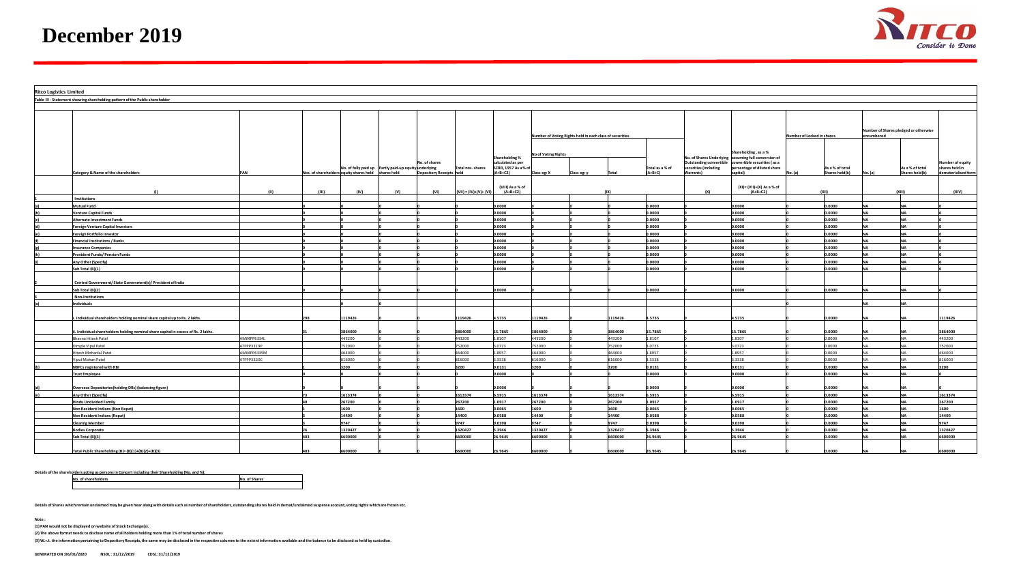

| <b>Ritco Logistics Limited</b> |                                                                                 |                         |       |                                                     |                                                       |                          |                         |                                                             |                            |                                                          |                  |                 |                       |                                                                                                                                                                   |                            |                  |                                                     |                     |                                    |
|--------------------------------|---------------------------------------------------------------------------------|-------------------------|-------|-----------------------------------------------------|-------------------------------------------------------|--------------------------|-------------------------|-------------------------------------------------------------|----------------------------|----------------------------------------------------------|------------------|-----------------|-----------------------|-------------------------------------------------------------------------------------------------------------------------------------------------------------------|----------------------------|------------------|-----------------------------------------------------|---------------------|------------------------------------|
|                                | Table III - Statement showing shareholding pattern of the Public shareholder    |                         |       |                                                     |                                                       |                          |                         |                                                             |                            |                                                          |                  |                 |                       |                                                                                                                                                                   |                            |                  |                                                     |                     |                                    |
|                                |                                                                                 |                         |       |                                                     |                                                       |                          |                         |                                                             |                            |                                                          |                  |                 |                       |                                                                                                                                                                   |                            |                  |                                                     |                     |                                    |
|                                |                                                                                 |                         |       |                                                     |                                                       |                          |                         |                                                             |                            | Number of Voting Rights held in each class of securities |                  |                 |                       |                                                                                                                                                                   | Number of Locked in shares |                  | Number of Shares pledged or otherwise<br>encumbered |                     |                                    |
|                                |                                                                                 |                         |       |                                                     | No. of fully paid up Partly paid-up equity underlying | No. of shares            | Total nos. shares       | Shareholding %<br>calculated as per<br>SCRR, 1957 As a % of | <b>No of Voting Rights</b> |                                                          |                  | Total as a % of | securities (including | Shareholding, as a %<br>No. of Shares Underlying assuming full conversion of<br>Outstanding convertible convertible securities (as a<br>rcentage of diluted share |                            | As a % of total  |                                                     | As a % of total     | Number of equity<br>shares held in |
|                                | Category & Name of the shareholders                                             |                         |       | Nos. of shareholders equity shares held shares held |                                                       | Depository Receipts held |                         | $(A+B+C2)$<br>(VIII) As a % of                              | Class eg: X                | Class eg: y                                              |                  | $(A+B+C)$       | <b>Narrants)</b>      | apital)<br>(XI)= (VII)+(X) As a % of                                                                                                                              |                            | Shares held(b)   |                                                     | Shares held(b)      | dematerialised form                |
|                                |                                                                                 | (11)                    | (III) | (IV)                                                | (V)                                                   | (VI)                     | $(VII) = (IV)+(V)+(VI)$ | $(A+B+C2)$                                                  |                            |                                                          |                  |                 | (X)                   | $(A+B+C2)$                                                                                                                                                        |                            |                  |                                                     | (x <sub>III</sub> ) | (XIV)                              |
|                                | Institutions                                                                    |                         |       |                                                     |                                                       |                          |                         |                                                             |                            |                                                          |                  |                 |                       |                                                                                                                                                                   |                            |                  |                                                     |                     |                                    |
|                                | <b>Autual Fund</b>                                                              |                         |       |                                                     |                                                       |                          |                         | 0000                                                        |                            |                                                          |                  | 0000.           |                       | 0.0000                                                                                                                                                            |                            | 0000.0           |                                                     |                     |                                    |
|                                | enture Capital Funds                                                            |                         |       |                                                     |                                                       |                          |                         | .0000                                                       |                            |                                                          |                  | 0,0000          |                       | 0.0000                                                                                                                                                            |                            | 0.0000           |                                                     |                     |                                    |
|                                | <b>Alternate Investment Funds</b>                                               |                         |       |                                                     |                                                       |                          |                         | .0000                                                       |                            |                                                          |                  | 0.0000          |                       | 0.0000                                                                                                                                                            |                            | 0.0000           | <b>NA</b>                                           |                     |                                    |
|                                | oreign Venture Capital Investors                                                |                         |       |                                                     |                                                       |                          |                         | 0.0000                                                      |                            |                                                          |                  | 0,0000          |                       | 0.0000                                                                                                                                                            |                            | 0.0000           |                                                     |                     |                                    |
|                                | reign Portfolio Investor                                                        |                         |       |                                                     |                                                       |                          |                         | .0000                                                       |                            |                                                          |                  | 0000.           |                       | 0.0000                                                                                                                                                            |                            | 0.0000           |                                                     |                     |                                    |
|                                | inancial Institutions / Banks                                                   |                         |       |                                                     |                                                       |                          |                         | 0000.                                                       |                            |                                                          |                  | 0.0000          |                       | 0.0000                                                                                                                                                            |                            | 0.0000           | <b>NA</b>                                           |                     |                                    |
|                                | surance Companies                                                               |                         |       |                                                     |                                                       |                          |                         | .0000<br>.0000                                              |                            |                                                          |                  | 0000.<br>0,0000 |                       | 0.0000<br>0.0000                                                                                                                                                  |                            | 0.0000<br>0.0000 |                                                     |                     |                                    |
|                                | rovident Funds/ Pension Funds                                                   |                         |       |                                                     |                                                       |                          |                         |                                                             |                            |                                                          |                  | .0000           |                       | 0000.                                                                                                                                                             |                            | 0000.0           |                                                     |                     |                                    |
|                                | Iny Other (Specify)<br>Sub Total (B)(1)                                         |                         |       |                                                     |                                                       |                          |                         | 0000<br>0.0000                                              |                            |                                                          |                  | 0.0000          |                       | 0.0000                                                                                                                                                            |                            | 0.0000           | NΔ                                                  | <b>NIA</b>          |                                    |
|                                | Central Government/ State Government(s)/ President of India                     |                         |       |                                                     |                                                       |                          |                         |                                                             |                            |                                                          |                  |                 |                       |                                                                                                                                                                   |                            |                  |                                                     |                     |                                    |
|                                | Sub Total (B)(2)                                                                |                         |       |                                                     |                                                       |                          |                         | .0000                                                       |                            |                                                          |                  | 0000.           |                       | 0.0000                                                                                                                                                            |                            | 0.0000           |                                                     |                     |                                    |
|                                | Non-Institutions<br>ndividuals                                                  |                         |       |                                                     |                                                       |                          |                         |                                                             |                            |                                                          |                  |                 |                       |                                                                                                                                                                   |                            |                  |                                                     |                     |                                    |
|                                |                                                                                 |                         |       |                                                     |                                                       |                          |                         |                                                             |                            |                                                          |                  |                 |                       |                                                                                                                                                                   |                            |                  |                                                     |                     |                                    |
|                                | Individual shareholders holding nominal share capital up to Rs. 2 lakhs         |                         |       | 119426                                              |                                                       |                          | 119426                  | 4.5735                                                      | 119426                     |                                                          | 119426           | 4.5735          |                       | 4.5735                                                                                                                                                            |                            | 0000.0           |                                                     |                     | 1119426                            |
|                                | Individual shareholders holding nominal share capital in excess of Rs. 2 lakhs. |                         |       | 3864000                                             |                                                       |                          | 8864000                 | 5.7865                                                      | 3864000                    |                                                          | 3864000          | 5.7865          |                       | 15.7865                                                                                                                                                           |                            | 0.0000           |                                                     |                     | 3864000                            |
|                                | havna Hitesh Patel                                                              | MMPP6334L               |       | 443200<br>752000                                    |                                                       |                          | 143200                  | 8107                                                        | 443200                     |                                                          | 443200           | .8107           |                       | 1.8107                                                                                                                                                            |                            | 0.0000<br>0000.0 |                                                     |                     | 443200<br>752000                   |
|                                | nple Vipul Patel                                                                | TFPP3319P               |       |                                                     |                                                       |                          | 52000<br>64000          | 0723<br>.8957                                               | 752000<br>64000            |                                                          | 752000<br>164000 | 0723<br>.8957   |                       | 3.0723<br>1.8957                                                                                                                                                  |                            | 0.0000           |                                                     |                     |                                    |
|                                | itesh Mohanlal Patel<br>ipul Mohan Patel                                        | MMPP6335M<br>ATFPP3320C |       | 64000<br>816000                                     |                                                       |                          | 16000                   | 3338                                                        | 316000                     |                                                          | 316000           | .3338           |                       | 3.3338                                                                                                                                                            |                            | 0.0000           |                                                     |                     | 464000<br>816000                   |
|                                | <b>NBFCs registered with RBI</b>                                                |                         |       | 3200                                                |                                                       |                          | 200                     | 0.0131                                                      | 3200                       |                                                          | 3200             | .0131           |                       | 0.0131                                                                                                                                                            |                            | 0.0000           |                                                     |                     | 3200                               |
|                                | <b>Trust Employee</b>                                                           |                         |       |                                                     |                                                       |                          |                         | 0000.0                                                      |                            |                                                          |                  | 0.0000          |                       | 0.0000                                                                                                                                                            |                            | 0.0000           | NΔ                                                  |                     |                                    |
|                                |                                                                                 |                         |       |                                                     |                                                       |                          |                         |                                                             |                            |                                                          |                  |                 |                       |                                                                                                                                                                   |                            |                  |                                                     |                     |                                    |
|                                | <b>Overseas Depositories(holding DRs) (balancing figure)</b>                    |                         |       |                                                     |                                                       |                          |                         | .0000                                                       |                            |                                                          |                  | ,0000           |                       | 0.0000                                                                                                                                                            |                            | 0.0000           |                                                     |                     |                                    |
|                                | Iny Other (Specify)                                                             |                         |       | 1613374                                             |                                                       |                          | 13374                   | 5915                                                        | 613374                     |                                                          | 613374           | 5915            |                       | .5915                                                                                                                                                             |                            | 0000.0           |                                                     |                     | 1613374                            |
|                                | <b>Hindu Undivided Family</b>                                                   |                         |       | 267200                                              |                                                       |                          | 267200                  | .0917                                                       | 267200                     |                                                          | 267200           | 1.0917          |                       | 1.0917                                                                                                                                                            |                            | 0.0000           |                                                     |                     | 267200                             |
|                                | <b>Ion Resident Indians (Non Repat)</b>                                         |                         |       | 1600                                                |                                                       |                          | 600                     | .0065                                                       | 1600                       |                                                          | 1600             | .0065           |                       | 0.0065                                                                                                                                                            |                            | 0000.0           |                                                     |                     | 1600                               |
|                                | <b>Non Resident Indians (Repat)</b>                                             |                         |       | 14400                                               |                                                       |                          | 14400                   | 0588                                                        | 14400                      |                                                          | 14400            | .0588           |                       | 0.0588                                                                                                                                                            |                            | 0.0000           |                                                     |                     | 14400                              |
|                                | learing Member                                                                  |                         |       | 9747                                                |                                                       |                          | 9747                    | .0398                                                       | 9747                       |                                                          | 9747             | .0398           |                       | 0.0398                                                                                                                                                            |                            | 0.0000           |                                                     |                     | 9747                               |
|                                | <b>Jodies Corporate</b>                                                         |                         |       | 1320427                                             |                                                       |                          | 1320427                 | 3946                                                        | 320427                     |                                                          | 1320427          | .3946           |                       | 5.3946                                                                                                                                                            |                            | 0.0000           |                                                     |                     | 1320427                            |
|                                | ub Total (B)(3)                                                                 |                         |       | 00000                                               |                                                       |                          | 500000                  | 6.9645                                                      | 600000                     |                                                          | 600000           | 5.9645          |                       | 26.9645                                                                                                                                                           |                            | 0000.0           |                                                     |                     | 00000                              |
|                                | Total Public Shareholding (B)= (B)(1)+(B)(2)+(B)(3)                             |                         |       | 600000                                              |                                                       |                          | 600000                  | 26.9645                                                     | 600000                     |                                                          | 6600000          | 26.9645         |                       | 26.9645                                                                                                                                                           |                            | 0000.0           |                                                     |                     | <b>CODOO</b>                       |

**Details of the shareholders acting as persons in Concert including their Shareholding (No. and %):**

**No. of shareholders No. of Shares**

**Details of Shares which remain unclaimed may be given hear along with details such as number of shareholders, outstanding shares held in demat/unclaimed suspense account, voting rights which are frozen etc.**

**Note :**

**(1) PAN would not be displayed on website of Stock Exchange(s).** 

**(2) The above format needs to disclose name of all holders holding more than 1% of total number of shares**

**(3) W.r.t. the information pertaining to Depository Receipts, the same may be disclosed in the respective columns to the extent information available and the balance to be disclosed as held by custodian.**